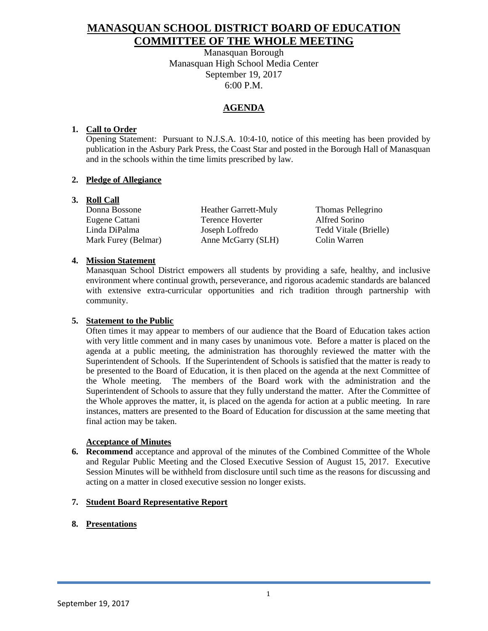# **MANASQUAN SCHOOL DISTRICT BOARD OF EDUCATION COMMITTEE OF THE WHOLE MEETING**

Manasquan Borough Manasquan High School Media Center September 19, 2017 6:00 P.M.

# **AGENDA**

## **1. Call to Order**

Opening Statement: Pursuant to N.J.S.A. 10:4-10, notice of this meeting has been provided by publication in the Asbury Park Press, the Coast Star and posted in the Borough Hall of Manasquan and in the schools within the time limits prescribed by law.

## **2. Pledge of Allegiance**

## **3. Roll Call**

Donna Bossone Heather Garrett-Muly Thomas Pellegrino Eugene Cattani Terence Hoverter Alfred Sorino Linda DiPalma Joseph Loffredo Tedd Vitale (Brielle) Mark Furey (Belmar) Anne McGarry (SLH) Colin Warren

## **4. Mission Statement**

Manasquan School District empowers all students by providing a safe, healthy, and inclusive environment where continual growth, perseverance, and rigorous academic standards are balanced with extensive extra-curricular opportunities and rich tradition through partnership with community.

## **5. Statement to the Public**

Often times it may appear to members of our audience that the Board of Education takes action with very little comment and in many cases by unanimous vote. Before a matter is placed on the agenda at a public meeting, the administration has thoroughly reviewed the matter with the Superintendent of Schools. If the Superintendent of Schools is satisfied that the matter is ready to be presented to the Board of Education, it is then placed on the agenda at the next Committee of the Whole meeting. The members of the Board work with the administration and the Superintendent of Schools to assure that they fully understand the matter. After the Committee of the Whole approves the matter, it, is placed on the agenda for action at a public meeting. In rare instances, matters are presented to the Board of Education for discussion at the same meeting that final action may be taken.

#### **Acceptance of Minutes**

**6. Recommend** acceptance and approval of the minutes of the Combined Committee of the Whole and Regular Public Meeting and the Closed Executive Session of August 15, 2017. Executive Session Minutes will be withheld from disclosure until such time as the reasons for discussing and acting on a matter in closed executive session no longer exists.

## **7. Student Board Representative Report**

# **8. Presentations**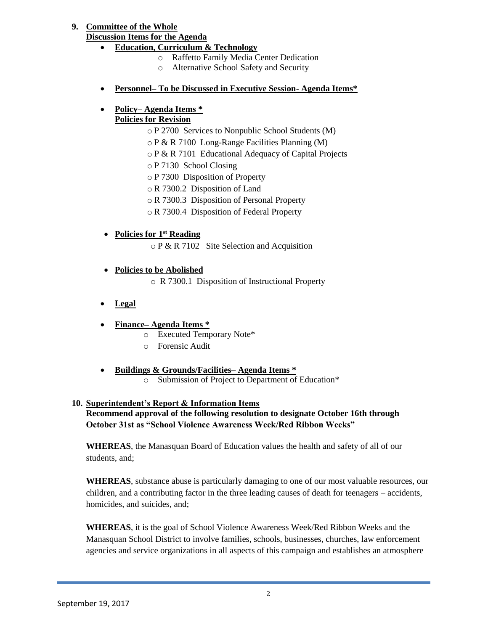# **9. Committee of the Whole**

## **Discussion Items for the Agenda**

- **Education, Curriculum & Technology**
	- o Raffetto Family Media Center Dedication
	- o Alternative School Safety and Security
- **Personnel– To be Discussed in Executive Session- Agenda Items\***

# **Policy– Agenda Items \***

## **Policies for Revision**

- o P 2700 Services to Nonpublic School Students (M)
- o P & R 7100 Long-Range Facilities Planning (M)
- o P & R 7101 Educational Adequacy of Capital Projects
- o P 7130 School Closing
- o P 7300 Disposition of Property
- o R 7300.2 Disposition of Land
- o R 7300.3 Disposition of Personal Property
- o R 7300.4 Disposition of Federal Property
- **Policies for 1st Reading**

o P & R 7102 Site Selection and Acquisition

- **Policies to be Abolished** 
	- o R 7300.1 Disposition of Instructional Property
- **Legal**
- **Finance– Agenda Items \*** 
	- o Executed Temporary Note\*
	- o Forensic Audit
- **Buildings & Grounds/Facilities– Agenda Items \*** 
	- o Submission of Project to Department of Education\*

# **10. Superintendent's Report & Information Items**

**Recommend approval of the following resolution to designate October 16th through October 31st as "School Violence Awareness Week/Red Ribbon Weeks"**

**WHEREAS**, the Manasquan Board of Education values the health and safety of all of our students, and;

**WHEREAS**, substance abuse is particularly damaging to one of our most valuable resources, our children, and a contributing factor in the three leading causes of death for teenagers – accidents, homicides, and suicides, and;

**WHEREAS**, it is the goal of School Violence Awareness Week/Red Ribbon Weeks and the Manasquan School District to involve families, schools, businesses, churches, law enforcement agencies and service organizations in all aspects of this campaign and establishes an atmosphere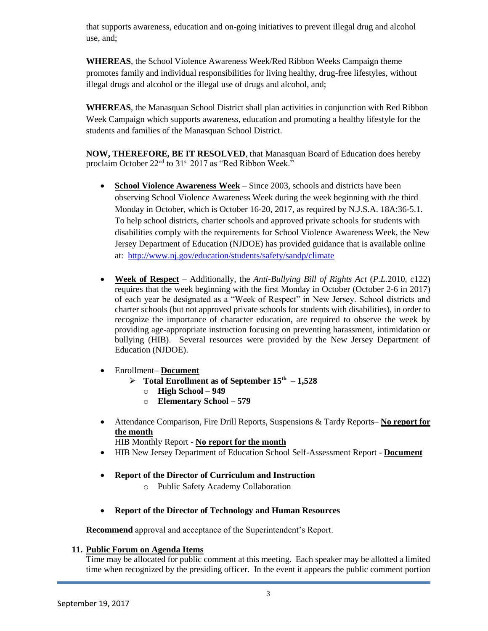that supports awareness, education and on-going initiatives to prevent illegal drug and alcohol use, and;

**WHEREAS**, the School Violence Awareness Week/Red Ribbon Weeks Campaign theme promotes family and individual responsibilities for living healthy, drug-free lifestyles, without illegal drugs and alcohol or the illegal use of drugs and alcohol, and;

**WHEREAS**, the Manasquan School District shall plan activities in conjunction with Red Ribbon Week Campaign which supports awareness, education and promoting a healthy lifestyle for the students and families of the Manasquan School District.

**NOW, THEREFORE, BE IT RESOLVED**, that Manasquan Board of Education does hereby proclaim October 22<sup>nd</sup> to 31<sup>st</sup> 2017 as "Red Ribbon Week."

- **School Violence Awareness Week** Since 2003, schools and districts have been observing School Violence Awareness Week during the week beginning with the third Monday in October, which is October 16-20, 2017, as required by N.J.S.A. 18A:36-5.1. To help school districts, charter schools and approved private schools for students with disabilities comply with the requirements for School Violence Awareness Week, the New Jersey Department of Education (NJDOE) has provided guidance that is available online at: <http://www.nj.gov/education/students/safety/sandp/climate>
- **Week of Respect** Additionally, the *Anti-Bullying Bill of Rights Act* (*P.L.*2010, *c*122) requires that the week beginning with the first Monday in October (October 2-6 in 2017) of each year be designated as a "Week of Respect" in New Jersey. School districts and charter schools (but not approved private schools for students with disabilities), in order to recognize the importance of character education, are required to observe the week by providing age-appropriate instruction focusing on preventing harassment, intimidation or bullying (HIB). Several resources were provided by the New Jersey Department of Education (NJDOE).
- Enrollment– **Document** 
	- $\triangleright$  Total Enrollment as of September  $15<sup>th</sup> 1,528$ 
		- o **High School – 949**
		- o **Elementary School – 579**
- Attendance Comparison, Fire Drill Reports, Suspensions & Tardy Reports– **No report for the month**

HIB Monthly Report - **No report for the month** 

- HIB New Jersey Department of Education School Self-Assessment Report **Document**
- **Report of the Director of Curriculum and Instruction**
	- o Public Safety Academy Collaboration
- **Report of the Director of Technology and Human Resources**

**Recommend** approval and acceptance of the Superintendent's Report.

# **11. Public Forum on Agenda Items**

Time may be allocated for public comment at this meeting. Each speaker may be allotted a limited time when recognized by the presiding officer. In the event it appears the public comment portion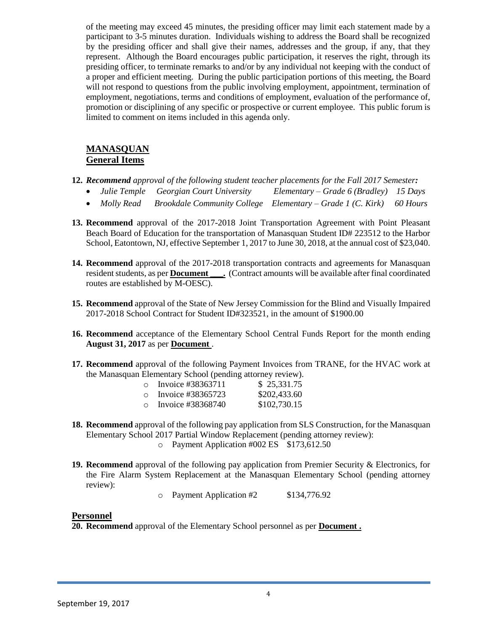of the meeting may exceed 45 minutes, the presiding officer may limit each statement made by a participant to 3-5 minutes duration. Individuals wishing to address the Board shall be recognized by the presiding officer and shall give their names, addresses and the group, if any, that they represent. Although the Board encourages public participation, it reserves the right, through its presiding officer, to terminate remarks to and/or by any individual not keeping with the conduct of a proper and efficient meeting. During the public participation portions of this meeting, the Board will not respond to questions from the public involving employment, appointment, termination of employment, negotiations, terms and conditions of employment, evaluation of the performance of, promotion or disciplining of any specific or prospective or current employee. This public forum is limited to comment on items included in this agenda only.

## **MANASQUAN General Items**

- **12.** *Recommend approval of the following student teacher placements for the Fall 2017 Semester:*
	- *Julie Temple Georgian Court University Elementary – Grade 6 (Bradley) 15 Days*
	- *Molly Read Brookdale Community College Elementary – Grade 1 (C. Kirk) 60 Hours*
- **13. Recommend** approval of the 2017-2018 Joint Transportation Agreement with Point Pleasant Beach Board of Education for the transportation of Manasquan Student ID# 223512 to the Harbor School, Eatontown, NJ, effective September 1, 2017 to June 30, 2018, at the annual cost of \$23,040.
- **14. Recommend** approval of the 2017-2018 transportation contracts and agreements for Manasquan resident students, as per **Document** \_\_\_\_. (Contract amounts will be available after final coordinated routes are established by M-OESC).
- **15. Recommend** approval of the State of New Jersey Commission for the Blind and Visually Impaired 2017-2018 School Contract for Student ID#323521, in the amount of \$1900.00
- **16. Recommend** acceptance of the Elementary School Central Funds Report for the month ending **August 31, 2017** as per **Document** .
- **17. Recommend** approval of the following Payment Invoices from TRANE, for the HVAC work at the Manasquan Elementary School (pending attorney review).

| $\cap$ | Invoice #38363711 | \$25,331.75  |
|--------|-------------------|--------------|
| $\cap$ | Invoice #38365723 | \$202,433.60 |
| $\cap$ | Invoice #38368740 | \$102,730.15 |

- **18. Recommend** approval of the following pay application from SLS Construction, for the Manasquan Elementary School 2017 Partial Window Replacement (pending attorney review):
	- o Payment Application #002 ES \$173,612.50
- **19. Recommend** approval of the following pay application from Premier Security & Electronics, for the Fire Alarm System Replacement at the Manasquan Elementary School (pending attorney review):

o Payment Application #2 \$134,776.92

#### **Personnel**

**20. Recommend** approval of the Elementary School personnel as per **Document .**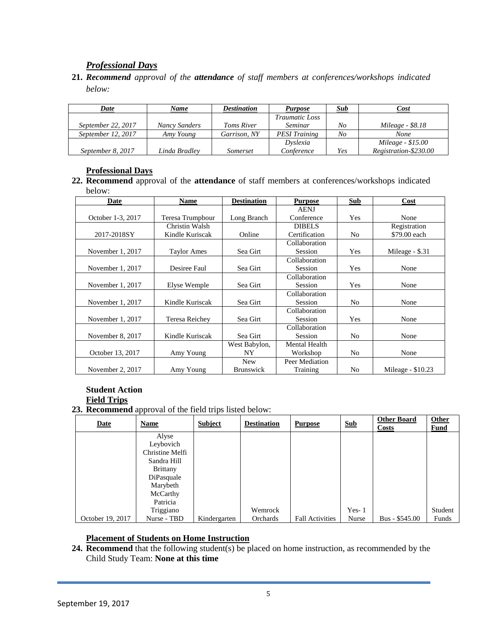# *Professional Days*

**21.** *Recommend approval of the attendance of staff members at conferences/workshops indicated below:*

| Date               | Name          | Destination       | <b>Purpose</b>        | Sub | Cost                  |
|--------------------|---------------|-------------------|-----------------------|-----|-----------------------|
|                    |               |                   | <i>Traumatic Loss</i> |     |                       |
| September 22, 2017 | Nancy Sanders | <b>Toms River</b> | Seminar               | No  | Mileage - \$8.18      |
| September 12, 2017 | Amy Young     | Garrison, NY      | <b>PESI</b> Training  | No  | <b>None</b>           |
|                    |               |                   | Dyslexia              |     | Mileage - \$15.00     |
| September 8, 2017  | Linda Bradley | Somerset          | Conference            | Yes | Registration-\$230.00 |

## **Professional Days**

**22. Recommend** approval of the **attendance** of staff members at conferences/workshops indicated below:

| Date              | Name               | <b>Destination</b> | <b>Purpose</b>       | <b>Sub</b>     | Cost               |
|-------------------|--------------------|--------------------|----------------------|----------------|--------------------|
|                   |                    |                    | <b>AENJ</b>          |                |                    |
| October 1-3, 2017 | Teresa Trumpbour   | Long Branch        | Conference           | Yes            | None               |
|                   | Christin Walsh     |                    | <b>DIBELS</b>        |                | Registration       |
| 2017-2018SY       | Kindle Kuriscak    | Online             | Certification        | N <sub>0</sub> | \$79.00 each       |
|                   |                    |                    | Collaboration        |                |                    |
| November 1, 2017  | <b>Taylor Ames</b> | Sea Girt           | <b>Session</b>       | Yes            | Mileage $-$ \$.31  |
|                   |                    |                    | Collaboration        |                |                    |
| November 1, 2017  | Desiree Faul       | Sea Girt           | Session              | Yes            | None               |
|                   |                    |                    | Collaboration        |                |                    |
| November 1, 2017  | Elyse Wemple       | Sea Girt           | Session              | Yes            | None               |
|                   |                    |                    | Collaboration        |                |                    |
| November 1, 2017  | Kindle Kuriscak    | Sea Girt           | Session              | N <sub>0</sub> | None               |
|                   |                    |                    | Collaboration        |                |                    |
| November 1, 2017  | Teresa Reichey     | Sea Girt           | Session              | Yes            | None               |
|                   |                    |                    | Collaboration        |                |                    |
| November 8, 2017  | Kindle Kuriscak    | Sea Girt           | Session              | N <sub>0</sub> | None               |
|                   |                    | West Babylon,      | <b>Mental Health</b> |                |                    |
| October 13, 2017  | Amy Young          | NY.                | Workshop             | N <sub>0</sub> | None               |
|                   |                    | <b>New</b>         | Peer Mediation       |                |                    |
| November 2, 2017  | Amy Young          | <b>Brunswick</b>   | Training             | N <sub>0</sub> | Mileage - $$10.23$ |

#### **Student Action Field Trips**

#### **23. Recommend** approval of the field trips listed below:

| Date             | Name            | Subject      | <b>Destination</b> | <b>Purpose</b>         | <b>Sub</b> | <b>Other Board</b><br><b>Costs</b> | <b>Other</b><br>Fund |
|------------------|-----------------|--------------|--------------------|------------------------|------------|------------------------------------|----------------------|
|                  | Alyse           |              |                    |                        |            |                                    |                      |
|                  | Leybovich       |              |                    |                        |            |                                    |                      |
|                  | Christine Melfi |              |                    |                        |            |                                    |                      |
|                  | Sandra Hill     |              |                    |                        |            |                                    |                      |
|                  | <b>Brittany</b> |              |                    |                        |            |                                    |                      |
|                  | DiPasquale      |              |                    |                        |            |                                    |                      |
|                  | Marybeth        |              |                    |                        |            |                                    |                      |
|                  | McCarthy        |              |                    |                        |            |                                    |                      |
|                  | Patricia        |              |                    |                        |            |                                    |                      |
|                  | Triggiano       |              | Wemrock            |                        | $Yes-1$    |                                    | Student              |
| October 19, 2017 | Nurse - TBD     | Kindergarten | Orchards           | <b>Fall Activities</b> | Nurse      | $Bus - $545.00$                    | Funds                |

## **Placement of Students on Home Instruction**

**24. Recommend** that the following student(s) be placed on home instruction, as recommended by the Child Study Team: **None at this time**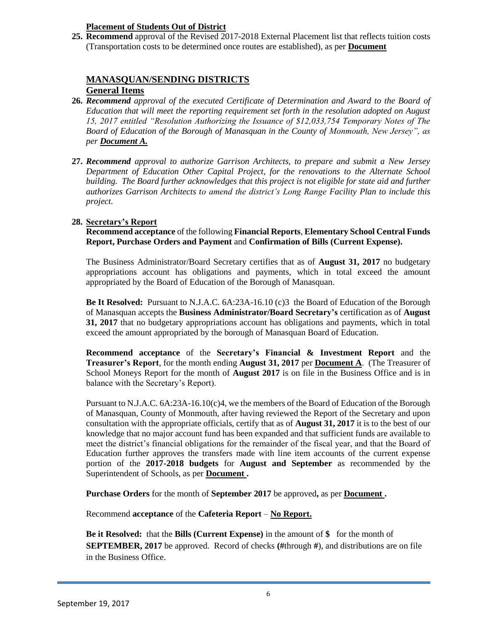## **Placement of Students Out of District**

**25. Recommend** approval of the Revised 2017-2018 External Placement list that reflects tuition costs (Transportation costs to be determined once routes are established), as per **Document**

## **MANASQUAN/SENDING DISTRICTS**

## **General Items**

- **26.** *Recommend approval of the executed Certificate of Determination and Award to the Board of Education that will meet the reporting requirement set forth in the resolution adopted on August 15, 2017 entitled "Resolution Authorizing the Issuance of \$12,033,754 Temporary Notes of The Board of Education of the Borough of Manasquan in the County of Monmouth, New Jersey", as per Document A.*
- **27.** *Recommend approval to authorize Garrison Architects, to prepare and submit a New Jersey Department of Education Other Capital Project, for the renovations to the Alternate School building. The Board further acknowledges that this project is not eligible for state aid and further authorizes Garrison Architects to amend the district's Long Range Facility Plan to include this project.*

## **28. Secretary's Report**

**Recommend acceptance** of the following **Financial Reports**, **Elementary School Central Funds Report, Purchase Orders and Payment** and **Confirmation of Bills (Current Expense).**

The Business Administrator/Board Secretary certifies that as of **August 31, 2017** no budgetary appropriations account has obligations and payments, which in total exceed the amount appropriated by the Board of Education of the Borough of Manasquan.

**Be It Resolved:** Pursuant to N.J.A.C. 6A:23A-16.10 (c)3 the Board of Education of the Borough of Manasquan accepts the **Business Administrator/Board Secretary's** certification as of **August 31, 2017** that no budgetary appropriations account has obligations and payments, which in total exceed the amount appropriated by the borough of Manasquan Board of Education.

**Recommend acceptance** of the **Secretary's Financial & Investment Report** and the **Treasurer's Report**, for the month ending **August 31, 2017** per **Document A**. (The Treasurer of School Moneys Report for the month of **August 2017** is on file in the Business Office and is in balance with the Secretary's Report).

Pursuant to N.J.A.C. 6A:23A-16.10(c)4, we the members of the Board of Education of the Borough of Manasquan, County of Monmouth, after having reviewed the Report of the Secretary and upon consultation with the appropriate officials, certify that as of **August 31, 2017** it is to the best of our knowledge that no major account fund has been expanded and that sufficient funds are available to meet the district's financial obligations for the remainder of the fiscal year, and that the Board of Education further approves the transfers made with line item accounts of the current expense portion of the **2017-2018 budgets** for **August and September** as recommended by the Superintendent of Schools, as per **Document .**

**Purchase Orders** for the month of **September 2017** be approved**,** as per **Document .**

Recommend **acceptance** of the **Cafeteria Report** – **No Report.**

**Be it Resolved:** that the **Bills (Current Expense)** in the amount of **\$** for the month of **SEPTEMBER, 2017** be approved. Record of checks **(#**through **#**), and distributions are on file in the Business Office.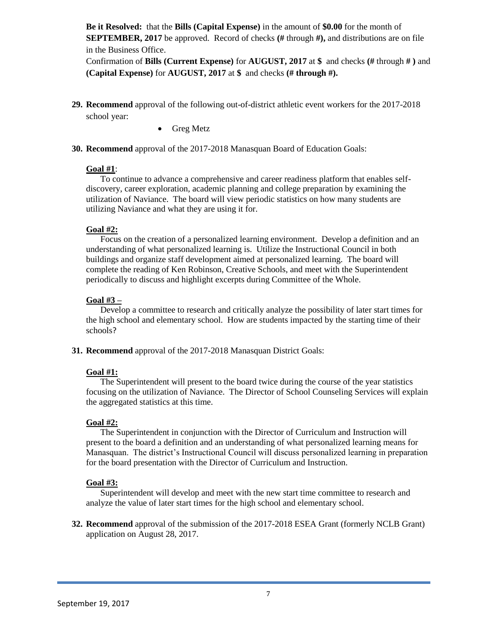**Be it Resolved:** that the **Bills (Capital Expense)** in the amount of **\$0.00** for the month of **SEPTEMBER, 2017** be approved. Record of checks **(#** through **#),** and distributions are on file in the Business Office.

Confirmation of **Bills (Current Expense)** for **AUGUST, 2017** at **\$** and checks **(#** through **# )** and **(Capital Expense)** for **AUGUST, 2017** at **\$** and checks **(# through #).**

- **29. Recommend** approval of the following out-of-district athletic event workers for the 2017-2018 school year:
	- Greg Metz
- **30. Recommend** approval of the 2017-2018 Manasquan Board of Education Goals:

#### **Goal #1**:

To continue to advance a comprehensive and career readiness platform that enables selfdiscovery, career exploration, academic planning and college preparation by examining the utilization of Naviance. The board will view periodic statistics on how many students are utilizing Naviance and what they are using it for.

#### **Goal #2:**

Focus on the creation of a personalized learning environment. Develop a definition and an understanding of what personalized learning is. Utilize the Instructional Council in both buildings and organize staff development aimed at personalized learning. The board will complete the reading of Ken Robinson, Creative Schools, and meet with the Superintendent periodically to discuss and highlight excerpts during Committee of the Whole.

#### **Goal #3 –**

Develop a committee to research and critically analyze the possibility of later start times for the high school and elementary school. How are students impacted by the starting time of their schools?

**31. Recommend** approval of the 2017-2018 Manasquan District Goals:

## **Goal #1:**

The Superintendent will present to the board twice during the course of the year statistics focusing on the utilization of Naviance. The Director of School Counseling Services will explain the aggregated statistics at this time.

## **Goal #2:**

The Superintendent in conjunction with the Director of Curriculum and Instruction will present to the board a definition and an understanding of what personalized learning means for Manasquan. The district's Instructional Council will discuss personalized learning in preparation for the board presentation with the Director of Curriculum and Instruction.

#### **Goal #3:**

Superintendent will develop and meet with the new start time committee to research and analyze the value of later start times for the high school and elementary school.

**32. Recommend** approval of the submission of the 2017-2018 ESEA Grant (formerly NCLB Grant) application on August 28, 2017.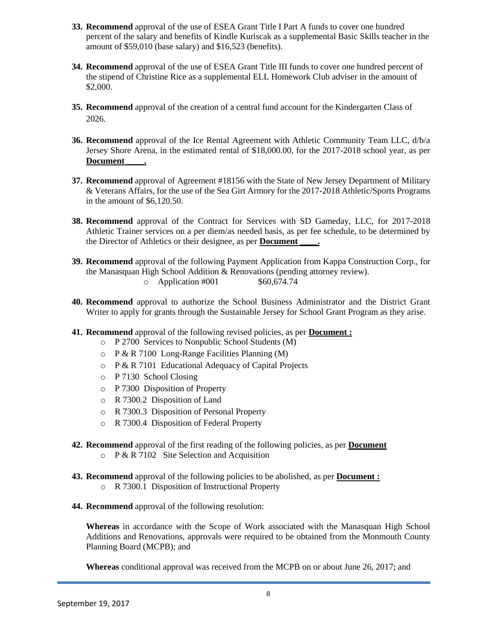- **33. Recommend** approval of the use of ESEA Grant Title I Part A funds to cover one hundred percent of the salary and benefits of Kindle Kuriscak as a supplemental Basic Skills teacher in the amount of \$59,010 (base salary) and \$16,523 (benefits).
- **34. Recommend** approval of the use of ESEA Grant Title III funds to cover one hundred percent of the stipend of Christine Rice as a supplemental ELL Homework Club adviser in the amount of \$2,000.
- **35. Recommend** approval of the creation of a central fund account for the Kindergarten Class of 2026.
- **36. Recommend** approval of the Ice Rental Agreement with Athletic Community Team LLC, d/b/a Jersey Shore Arena, in the estimated rental of \$18,000.00, for the 2017-2018 school year, as per **Document \_\_\_\_.**
- **37. Recommend** approval of Agreement #18156 with the State of New Jersey Department of Military & Veterans Affairs, for the use of the Sea Girt Armory for the 2017-2018 Athletic/Sports Programs in the amount of \$6,120.50.
- **38. Recommend** approval of the Contract for Services with SD Gameday, LLC, for 2017-2018 Athletic Trainer services on a per diem/as needed basis, as per fee schedule, to be determined by the Director of Athletics or their designee, as per **Document \_\_\_\_.**
- **39. Recommend** approval of the following Payment Application from Kappa Construction Corp., for the Manasquan High School Addition & Renovations (pending attorney review).  $\degree$  Application #001 \$60,674.74
- **40. Recommend** approval to authorize the School Business Administrator and the District Grant Writer to apply for grants through the Sustainable Jersey for School Grant Program as they arise.
- **41. Recommend** approval of the following revised policies, as per **Document :**
	- o P 2700 Services to Nonpublic School Students (M)
	- $\circ$  P & R 7100 Long-Range Facilities Planning (M)
	- o P & R 7101 Educational Adequacy of Capital Projects
	- o P 7130 School Closing
	- o P 7300 Disposition of Property
	- o R 7300.2 Disposition of Land
	- o R 7300.3 Disposition of Personal Property
	- o R 7300.4 Disposition of Federal Property
- **42. Recommend** approval of the first reading of the following policies, as per **Document**
	- o P & R 7102 Site Selection and Acquisition
- **43. Recommend** approval of the following policies to be abolished, as per **Document :** o R 7300.1 Disposition of Instructional Property
- **44. Recommend** approval of the following resolution:

**Whereas** in accordance with the Scope of Work associated with the Manasquan High School Additions and Renovations, approvals were required to be obtained from the Monmouth County Planning Board (MCPB); and

**Whereas** conditional approval was received from the MCPB on or about June 26, 2017; and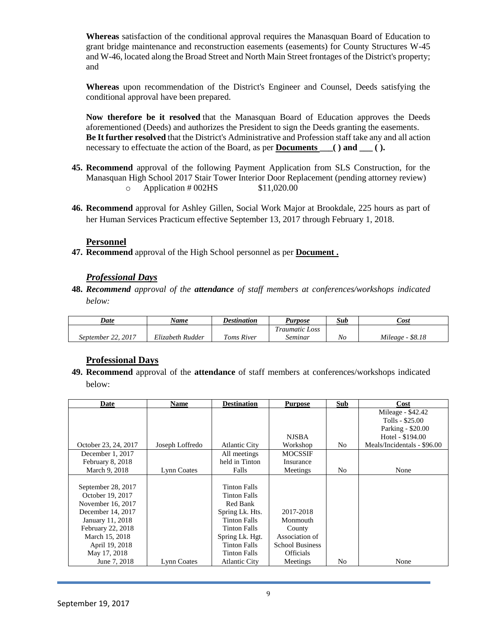**Whereas** satisfaction of the conditional approval requires the Manasquan Board of Education to grant bridge maintenance and reconstruction easements (easements) for County Structures W-45 and W-46, located along the Broad Street and North Main Street frontages of the District's property; and

**Whereas** upon recommendation of the District's Engineer and Counsel, Deeds satisfying the conditional approval have been prepared.

**Now therefore be it resolved** that the Manasquan Board of Education approves the Deeds aforementioned (Deeds) and authorizes the President to sign the Deeds granting the easements. **Be It further resolved** that the District's Administrative and Profession staff take any and all action necessary to effectuate the action of the Board, as per **Documents \_\_\_( ) and \_\_\_ ( ).**

- **45. Recommend** approval of the following Payment Application from SLS Construction, for the Manasquan High School 2017 Stair Tower Interior Door Replacement (pending attorney review)  $\degree$  Application # 002HS \$11,020.00
- **46. Recommend** approval for Ashley Gillen, Social Work Major at Brookdale, 225 hours as part of her Human Services Practicum effective September 13, 2017 through February 1, 2018.

#### **Personnel**

**47. Recommend** approval of the High School personnel as per **Document .**

#### *Professional Days*

**48.** *Recommend approval of the attendance of staff members at conferences/workshops indicated below:*

| Date                                      | Name             | Destination       | <b>Purpose</b>                    | Sub | Cost              |
|-------------------------------------------|------------------|-------------------|-----------------------------------|-----|-------------------|
|                                           |                  |                   | $\overline{ }$<br>l'raumatic Loss |     |                   |
| 2017<br>$\mathcal{L}$<br>September<br>44. | Elizabeth Rudder | <b>Toms River</b> | -<br>Seminar                      | No  | Mileage<br>\$8.18 |

## **Professional Days**

**49. Recommend** approval of the **attendance** of staff members at conferences/workshops indicated below:

| Date                 | <b>Name</b>     | <b>Destination</b>   | <b>Purpose</b>         | Sub            | Cost                        |
|----------------------|-----------------|----------------------|------------------------|----------------|-----------------------------|
|                      |                 |                      |                        |                | Mileage - \$42.42           |
|                      |                 |                      |                        |                | Tolls - \$25.00             |
|                      |                 |                      |                        |                | Parking - \$20.00           |
|                      |                 |                      | <b>NJSBA</b>           |                | Hotel - \$194.00            |
| October 23, 24, 2017 | Joseph Loffredo | <b>Atlantic City</b> | Workshop               | N <sub>0</sub> | Meals/Incidentals - \$96.00 |
| December 1, 2017     |                 | All meetings         | <b>MOCSSIF</b>         |                |                             |
| February 8, 2018     |                 | held in Tinton       | Insurance              |                |                             |
| March 9, 2018        | Lynn Coates     | Falls                | Meetings               | N <sub>o</sub> | None                        |
|                      |                 |                      |                        |                |                             |
| September 28, 2017   |                 | <b>Tinton Falls</b>  |                        |                |                             |
| October 19, 2017     |                 | <b>Tinton Falls</b>  |                        |                |                             |
| November 16, 2017    |                 | Red Bank             |                        |                |                             |
| December 14, 2017    |                 | Spring Lk. Hts.      | 2017-2018              |                |                             |
| January 11, 2018     |                 | <b>Tinton Falls</b>  | Monmouth               |                |                             |
| February 22, 2018    |                 | <b>Tinton Falls</b>  | County                 |                |                             |
| March 15, 2018       |                 | Spring Lk. Hgt.      | Association of         |                |                             |
| April 19, 2018       |                 | <b>Tinton Falls</b>  | <b>School Business</b> |                |                             |
| May 17, 2018         |                 | <b>Tinton Falls</b>  | <b>Officials</b>       |                |                             |
| June 7, 2018         | Lynn Coates     | <b>Atlantic City</b> | Meetings               | No             | None                        |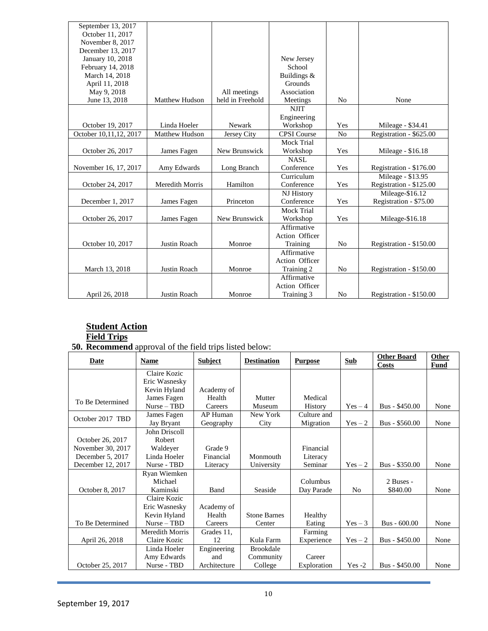| September 13, 2017     |                       |                  |                    |                |                         |
|------------------------|-----------------------|------------------|--------------------|----------------|-------------------------|
| October 11, 2017       |                       |                  |                    |                |                         |
| November 8, 2017       |                       |                  |                    |                |                         |
| December 13, 2017      |                       |                  |                    |                |                         |
| January 10, 2018       |                       |                  | New Jersey         |                |                         |
| February 14, 2018      |                       |                  | School             |                |                         |
| March 14, 2018         |                       |                  | Buildings &        |                |                         |
| April 11, 2018         |                       |                  | Grounds            |                |                         |
| May 9, 2018            |                       | All meetings     | Association        |                |                         |
| June 13, 2018          | <b>Matthew Hudson</b> | held in Freehold | Meetings           | N <sub>0</sub> | None                    |
|                        |                       |                  | <b>NJIT</b>        |                |                         |
|                        |                       |                  | Engineering        |                |                         |
| October 19, 2017       | Linda Hoeler          | Newark           | Workshop           | Yes            | Mileage - \$34.41       |
| October 10,11,12, 2017 | <b>Matthew Hudson</b> | Jersey City      | <b>CPSI</b> Course | No             | Registration - \$625.00 |
|                        |                       |                  | <b>Mock Trial</b>  |                |                         |
| October 26, 2017       | James Fagen           | New Brunswick    | Workshop           | Yes            | Mileage - $$16.18$      |
|                        |                       |                  | <b>NASL</b>        |                |                         |
| November 16, 17, 2017  | Amy Edwards           | Long Branch      | Conference         | Yes            | Registration - \$176.00 |
|                        |                       |                  | Curriculum         |                | Mileage - \$13.95       |
| October 24, 2017       | Meredith Morris       | Hamilton         | Conference         | Yes            | Registration - \$125.00 |
|                        |                       |                  | NJ History         |                | Mileage-\$16.12         |
| December 1, 2017       | James Fagen           | Princeton        | Conference         | Yes            | Registration - \$75.00  |
|                        |                       |                  | Mock Trial         |                |                         |
| October 26, 2017       | James Fagen           | New Brunswick    | Workshop           | Yes            | Mileage-\$16.18         |
|                        |                       |                  | Affirmative        |                |                         |
|                        |                       |                  | Action Officer     |                |                         |
| October 10, 2017       | Justin Roach          | Monroe           | Training           | N <sub>0</sub> | Registration - \$150.00 |
|                        |                       |                  | Affirmative        |                |                         |
|                        |                       |                  | Action Officer     |                |                         |
| March 13, 2018         | <b>Justin Roach</b>   | Monroe           | Training 2         | N <sub>0</sub> | Registration - \$150.00 |
|                        |                       |                  | Affirmative        |                |                         |
|                        |                       |                  | Action Officer     |                |                         |
| April 26, 2018         | Justin Roach          | Monroe           | Training 3         | N <sub>0</sub> | Registration - \$150.00 |

# **Student Action**

## **Field Trips**

**50. Recommend** approval of the field trips listed below:

| <b>Date</b>       | Name            | <b>Subject</b> | <b>Destination</b>  | <b>Purpose</b> | <b>Sub</b>     | <b>Other Board</b><br><b>Costs</b> | Other<br>Fund |
|-------------------|-----------------|----------------|---------------------|----------------|----------------|------------------------------------|---------------|
|                   | Claire Kozic    |                |                     |                |                |                                    |               |
|                   | Eric Wasnesky   |                |                     |                |                |                                    |               |
|                   | Kevin Hyland    | Academy of     |                     |                |                |                                    |               |
| To Be Determined  | James Fagen     | Health         | Mutter              | Medical        |                |                                    |               |
|                   | $Nurse - TBD$   | Careers        | Museum              | <b>History</b> | $Yes-4$        | Bus - \$450.00                     | None          |
| October 2017 TBD  | James Fagen     | AP Human       | New York            | Culture and    |                |                                    |               |
|                   | Jay Bryant      | Geography      | City                | Migration      | $Yes-2$        | Bus - \$560.00                     | None          |
|                   | John Driscoll   |                |                     |                |                |                                    |               |
| October 26, 2017  | Robert          |                |                     |                |                |                                    |               |
| November 30, 2017 | Waldeyer        | Grade 9        |                     | Financial      |                |                                    |               |
| December 5, 2017  | Linda Hoeler    | Financial      | Monmouth            | Literacy       |                |                                    |               |
| December 12, 2017 | Nurse - TBD     | Literacy       | University          | Seminar        | $Yes-2$        | Bus - \$350.00                     | None          |
|                   | Ryan Wiemken    |                |                     |                |                |                                    |               |
|                   | Michael         |                |                     | Columbus       |                | 2 Buses -                          |               |
| October 8, 2017   | Kaminski        | Band           | Seaside             | Day Parade     | N <sub>0</sub> | \$840.00                           | None          |
|                   | Claire Kozic    |                |                     |                |                |                                    |               |
|                   | Eric Wasnesky   | Academy of     |                     |                |                |                                    |               |
|                   | Kevin Hyland    | Health         | <b>Stone Barnes</b> | Healthy        |                |                                    |               |
| To Be Determined  | $Nurse - TBD$   | Careers        | Center              | Eating         | $Yes - 3$      | $Bus - 600.00$                     | None          |
|                   | Meredith Morris | Grades 11,     |                     | Farming        |                |                                    |               |
| April 26, 2018    | Claire Kozic    | 12             | Kula Farm           | Experience     | $Yes-2$        | Bus - \$450.00                     | None          |
|                   | Linda Hoeler    | Engineering    | <b>Brookdale</b>    |                |                |                                    |               |
|                   | Amy Edwards     | and            | Community           | Career         |                |                                    |               |
| October 25, 2017  | Nurse - TBD     | Architecture   | College             | Exploration    | $Yes -2$       | Bus - \$450.00                     | None          |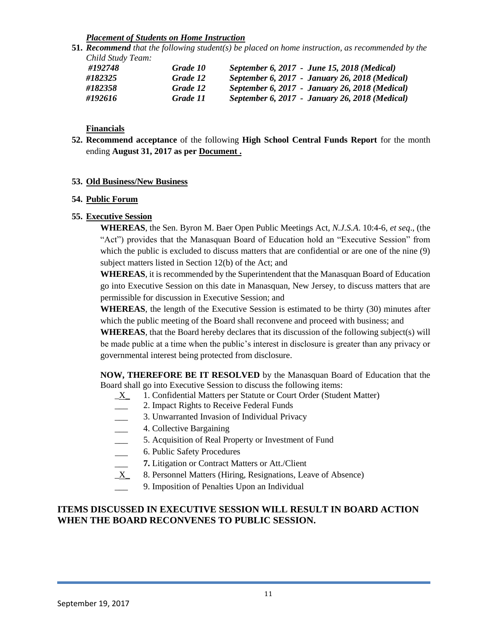#### *Placement of Students on Home Instruction*

**51.** *Recommend that the following student(s) be placed on home instruction, as recommended by the Child Study Team:*

| #192748 | Grade 10 | September 6, 2017 - June 15, 2018 (Medical)    |
|---------|----------|------------------------------------------------|
| #182325 | Grade 12 | September 6, 2017 - January 26, 2018 (Medical) |
| #182358 | Grade 12 | September 6, 2017 - January 26, 2018 (Medical) |
| #192616 | Grade 11 | September 6, 2017 - January 26, 2018 (Medical) |

## **Financials**

**52. Recommend acceptance** of the following **High School Central Funds Report** for the month ending **August 31, 2017 as per Document .**

#### **53. Old Business/New Business**

#### **54. Public Forum**

#### **55. Executive Session**

**WHEREAS**, the Sen. Byron M. Baer Open Public Meetings Act, *N.J.S.A*. 10:4-6, *et seq*., (the "Act") provides that the Manasquan Board of Education hold an "Executive Session" from which the public is excluded to discuss matters that are confidential or are one of the nine (9) subject matters listed in Section 12(b) of the Act; and

**WHEREAS**, it is recommended by the Superintendent that the Manasquan Board of Education go into Executive Session on this date in Manasquan, New Jersey, to discuss matters that are permissible for discussion in Executive Session; and

**WHEREAS**, the length of the Executive Session is estimated to be thirty (30) minutes after which the public meeting of the Board shall reconvene and proceed with business; and

**WHEREAS**, that the Board hereby declares that its discussion of the following subject(s) will be made public at a time when the public's interest in disclosure is greater than any privacy or governmental interest being protected from disclosure.

**NOW, THEREFORE BE IT RESOLVED** by the Manasquan Board of Education that the Board shall go into Executive Session to discuss the following items:

- X 1. Confidential Matters per Statute or Court Order (Student Matter)
- \_\_\_ 2. Impact Rights to Receive Federal Funds
- 3. Unwarranted Invasion of Individual Privacy
- \_\_\_ 4. Collective Bargaining
- 5. Acquisition of Real Property or Investment of Fund
- 6. Public Safety Procedures
- \_\_\_ **7.** Litigation or Contract Matters or Att./Client
- \_X\_ 8. Personnel Matters (Hiring, Resignations, Leave of Absence)
- 9. Imposition of Penalties Upon an Individual

## **ITEMS DISCUSSED IN EXECUTIVE SESSION WILL RESULT IN BOARD ACTION WHEN THE BOARD RECONVENES TO PUBLIC SESSION.**